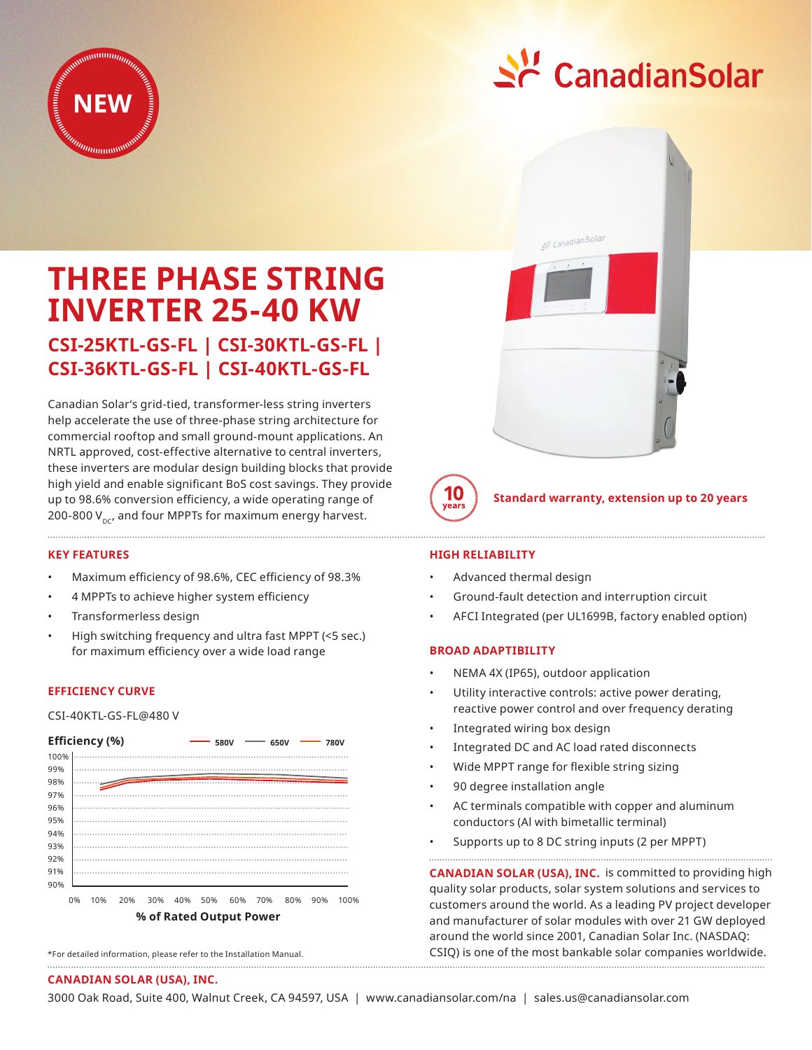



# **THREE PHASE STRING INVERTER 25-40 KW**

## **CSI-25KTL-GS-FL | CSI-30KTL-GS-FL | CSI-36KTL-GS-FL | CSI-40KTL-GS-FL**

Canadian Solar's grid-tied, transformer-less string inverters help accelerate the use of three-phase string architecture for commercial rooftop and small ground-mount applications. An NRTL approved, cost-effective alternative to central inverters, these inverters are modular design building blocks that provide high yield and enable significant BoS cost savings. They provide up to 98.6% conversion efficiency, a wide operating range of 200-800  $V_{\text{nc}}$ , and four MPPTs for maximum energy harvest.

#### **KEY FEATURES**

- Maximum efficiency of 98.6%, CEC efficiency of 98.3%
- 4 MPPTs to achieve higher system efficiency
- Transformerless design
- High switching frequency and ultra fast MPPT (<5 sec.) for maximum efficiency over a wide load range

#### **EFFICIENCY CURVE**

CSI-40KTL-GS-FL@480 V



<sup>\*</sup>For detailed information, please refer to the Installation Manual.

### **HIGH RELIABILITY**

10

- Advanced thermal design
- Ground-fault detection and interruption circuit

CanadianSolar

• AFCI Integrated (per UL1699B, factory enabled option)

**Standard warranty, extension up to 20 years**

#### **BROAD ADAPTIBILITY**

- NEMA 4X (IP65), outdoor application
- Utility interactive controls: active power derating, reactive power control and over frequency derating
- Integrated wiring box design
- Integrated DC and AC load rated disconnects
- Wide MPPT range for flexible string sizing
- 90 degree installation angle
- AC terminals compatible with copper and aluminum conductors (Al with bimetallic terminal)
- Supports up to 8 DC string inputs (2 per MPPT)

**CANADIAN SOLAR (USA), INC.** is committed to providing high quality solar products, solar system solutions and services to customers around the world. As a leading PV project developer and manufacturer of solar modules with over 21 GW deployed around the world since 2001, Canadian Solar Inc. (NASDAQ: CSIQ) is one of the most bankable solar companies worldwide. 

#### **CANADIAN SOLAR (USA), INC.**

3000 Oak Road, Suite 400, Walnut Creek, CA 94597, USA | www.canadiansolar.com/na | sales.us@canadiansolar.com